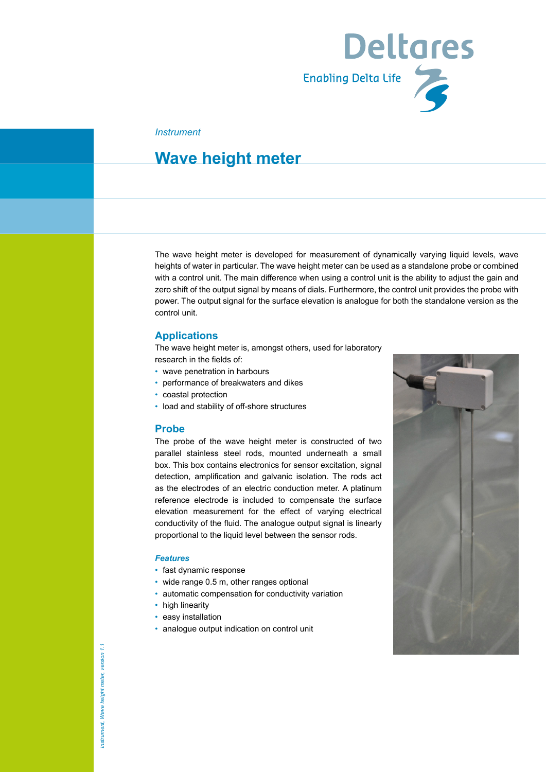

#### *Instrument*

### **Wave height meter**

The wave height meter is developed for measurement of dynamically varying liquid levels, wave heights of water in particular. The wave height meter can be used as a standalone probe or combined with a control unit. The main difference when using a control unit is the ability to adjust the gain and zero shift of the output signal by means of dials. Furthermore, the control unit provides the probe with power. The output signal for the surface elevation is analogue for both the standalone version as the control unit.

#### **Applications**

The wave height meter is, amongst others, used for laboratory research in the fields of:

- wave penetration in harbours
- performance of breakwaters and dikes
- coastal protection
- load and stability of off-shore structures

#### **Probe**

The probe of the wave height meter is constructed of two parallel stainless steel rods, mounted underneath a small box. This box contains electronics for sensor excitation, signal detection, amplification and galvanic isolation. The rods act as the electrodes of an electric conduction meter. A platinum reference electrode is included to compensate the surface elevation measurement for the effect of varying electrical conductivity of the fluid. The analogue output signal is linearly proportional to the liquid level between the sensor rods.

#### *Features*

- fast dynamic response
- wide range 0.5 m, other ranges optional
- automatic compensation for conductivity variation
- high linearity
- easy installation
- analogue output indication on control unit